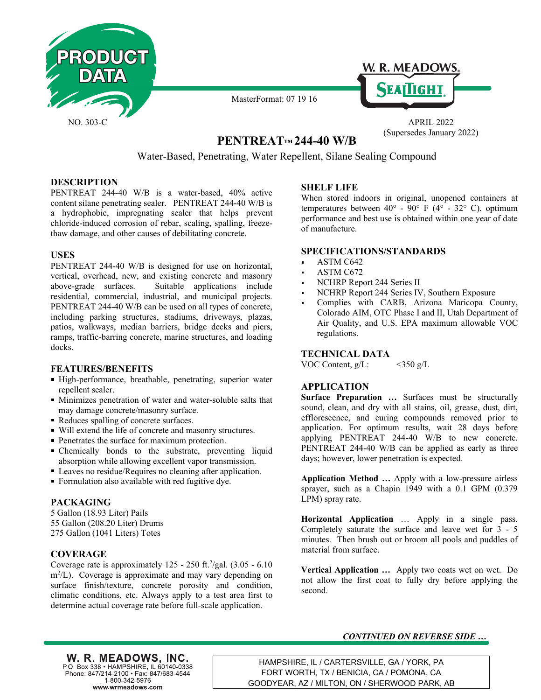



MasterFormat: 07 19 16

(Supersedes January 2022)

# **PENTREAT**™ 244-40 W/B

Water-Based, Penetrating, Water Repellent, Silane Sealing Compound

#### **DESCRIPTION**

PENTREAT 244-40 W/B is a water-based, 40% active content silane penetrating sealer. PENTREAT 244-40 W/B is a hydrophobic, impregnating sealer that helps prevent chloride-induced corrosion of rebar, scaling, spalling, freezethaw damage, and other causes of debilitating concrete.

#### **USES**

PENTREAT 244-40 W/B is designed for use on horizontal, vertical, overhead, new, and existing concrete and masonry above-grade surfaces. Suitable applications include residential, commercial, industrial, and municipal projects. PENTREAT 244-40 W/B can be used on all types of concrete, including parking structures, stadiums, driveways, plazas, patios, walkways, median barriers, bridge decks and piers, ramps, traffic-barring concrete, marine structures, and loading docks.

#### **FEATURES/BENEFITS**

- High-performance, breathable, penetrating, superior water repellent sealer.
- Minimizes penetration of water and water-soluble salts that may damage concrete/masonry surface.
- Reduces spalling of concrete surfaces.
- Will extend the life of concrete and masonry structures.
- Penetrates the surface for maximum protection.
- Chemically bonds to the substrate, preventing liquid absorption while allowing excellent vapor transmission.
- Leaves no residue/Requires no cleaning after application.
- Formulation also available with red fugitive dye.

## **PACKAGING**

5 Gallon (18.93 Liter) Pails 55 Gallon (208.20 Liter) Drums 275 Gallon (1041 Liters) Totes

## **COVERAGE**

Coverage rate is approximately  $125 - 250$  ft.<sup>2</sup>/gal.  $(3.05 - 6.10)$ m<sup>2</sup>/L). Coverage is approximate and may vary depending on surface finish/texture, concrete porosity and condition, climatic conditions, etc. Always apply to a test area first to determine actual coverage rate before full-scale application.

#### **SHELF LIFE**

When stored indoors in original, unopened containers at temperatures between  $40^{\circ}$  -  $90^{\circ}$  F (4° - 32° C), optimum performance and best use is obtained within one year of date of manufacture.

#### **SPECIFICATIONS/STANDARDS**

- ASTM C642
- ASTM C672
- NCHRP Report 244 Series II
- NCHRP Report 244 Series IV, Southern Exposure
- Complies with CARB, Arizona Maricopa County, Colorado AIM, OTC Phase I and II, Utah Department of Air Quality, and U.S. EPA maximum allowable VOC regulations.

#### **TECHNICAL DATA**

VOC Content,  $g/L$ :  $\leq$ 350 g/L

## **APPLICATION**

**Surface Preparation …** Surfaces must be structurally sound, clean, and dry with all stains, oil, grease, dust, dirt, efflorescence, and curing compounds removed prior to application. For optimum results, wait 28 days before applying PENTREAT 244-40 W/B to new concrete. PENTREAT 244-40 W/B can be applied as early as three days; however, lower penetration is expected.

**Application Method …** Apply with a low-pressure airless sprayer, such as a Chapin 1949 with a 0.1 GPM (0.379 LPM) spray rate.

**Horizontal Application** … Apply in a single pass. Completely saturate the surface and leave wet for 3 - 5 minutes. Then brush out or broom all pools and puddles of material from surface.

**Vertical Application …** Apply two coats wet on wet. Do not allow the first coat to fully dry before applying the second.

## *CONTINUED ON REVERSE SIDE …*

W. R. MEADOWS, INC. P.O. Box 338 · HAMPSHIRE, IL 60140-0338 Phone: 847/214-2100 · Fax: 847/683-4544 1-800-342-5976 www.wrmeadows.com

HAMPSHIRE, IL / CARTERSVILLE, GA / YORK, PA FORT WORTH, TX / BENICIA, CA / POMONA, CA GOODYEAR, AZ / MILTON, ON / SHERWOOD PARK, AB